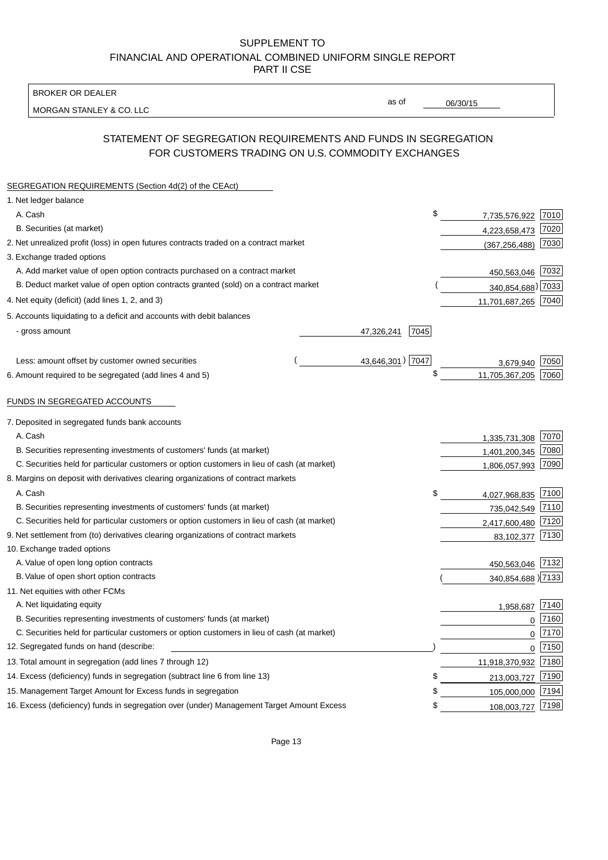BROKER OR DEALER

MORGAN STANLEY & CO. LLC

06/30/15

as of

# STATEMENT OF SEGREGATION REQUIREMENTS AND FUNDS IN SEGREGATION FOR CUSTOMERS TRADING ON U.S. COMMODITY EXCHANGES

| SEGREGATION REQUIREMENTS (Section 4d(2) of the CEAct)                                       |                    |                     |      |
|---------------------------------------------------------------------------------------------|--------------------|---------------------|------|
| 1. Net ledger balance                                                                       |                    |                     |      |
| A. Cash                                                                                     | \$                 | 7,735,576,922       | 7010 |
| B. Securities (at market)                                                                   |                    | 4,223,658,473       | 7020 |
| 2. Net unrealized profit (loss) in open futures contracts traded on a contract market       |                    | (367, 256, 488)     | 7030 |
| 3. Exchange traded options                                                                  |                    |                     |      |
| A. Add market value of open option contracts purchased on a contract market                 |                    | 450,563,046 7032    |      |
| B. Deduct market value of open option contracts granted (sold) on a contract market         |                    | 340,854,688) 7033   |      |
| 4. Net equity (deficit) (add lines 1, 2, and 3)                                             |                    | 11,701,687,265 7040 |      |
| 5. Accounts liquidating to a deficit and accounts with debit balances                       |                    |                     |      |
| - gross amount                                                                              | 7045<br>47,326,241 |                     |      |
|                                                                                             |                    |                     |      |
| Less: amount offset by customer owned securities                                            | 43,646,301) 7047   | 3,679,940           | 7050 |
| 6. Amount required to be segregated (add lines 4 and 5)                                     | \$                 | 11,705,367,205      | 7060 |
|                                                                                             |                    |                     |      |
| FUNDS IN SEGREGATED ACCOUNTS                                                                |                    |                     |      |
| 7. Deposited in segregated funds bank accounts                                              |                    |                     |      |
| A. Cash                                                                                     |                    | 1,335,731,308       | 7070 |
| B. Securities representing investments of customers' funds (at market)                      |                    | 1,401,200,345       | 7080 |
| C. Securities held for particular customers or option customers in lieu of cash (at market) |                    | 1,806,057,993       | 7090 |
| 8. Margins on deposit with derivatives clearing organizations of contract markets           |                    |                     |      |
| A. Cash                                                                                     | \$                 | 4,027,968,835       | 7100 |
| B. Securities representing investments of customers' funds (at market)                      |                    | 735,042,549         | 7110 |
| C. Securities held for particular customers or option customers in lieu of cash (at market) |                    | 2,417,600,480       | 7120 |
| 9. Net settlement from (to) derivatives clearing organizations of contract markets          |                    | 83,102,377          | 7130 |
| 10. Exchange traded options                                                                 |                    |                     |      |
| A. Value of open long option contracts                                                      |                    | 450,563,046         | 7132 |
| B. Value of open short option contracts                                                     |                    | 340,854,688) 7133   |      |
| 11. Net equities with other FCMs                                                            |                    |                     |      |
| A. Net liquidating equity                                                                   |                    | 1,958,687           | 7140 |
| B. Securities representing investments of customers' funds (at market)                      |                    | $\mathbf 0$         | 7160 |
| C. Securities held for particular customers or option customers in lieu of cash (at market) |                    | 0                   | 7170 |
| 12. Segregated funds on hand (describe:                                                     |                    | 0                   | 7150 |
| 13. Total amount in segregation (add lines 7 through 12)                                    |                    | 11,918,370,932 7180 |      |
| 14. Excess (deficiency) funds in segregation (subtract line 6 from line 13)                 | \$                 | 213,003,727         | 7190 |
| 15. Management Target Amount for Excess funds in segregation                                | \$                 | 105,000,000         | 7194 |
| 16. Excess (deficiency) funds in segregation over (under) Management Target Amount Excess   | \$                 | 108,003,727         | 7198 |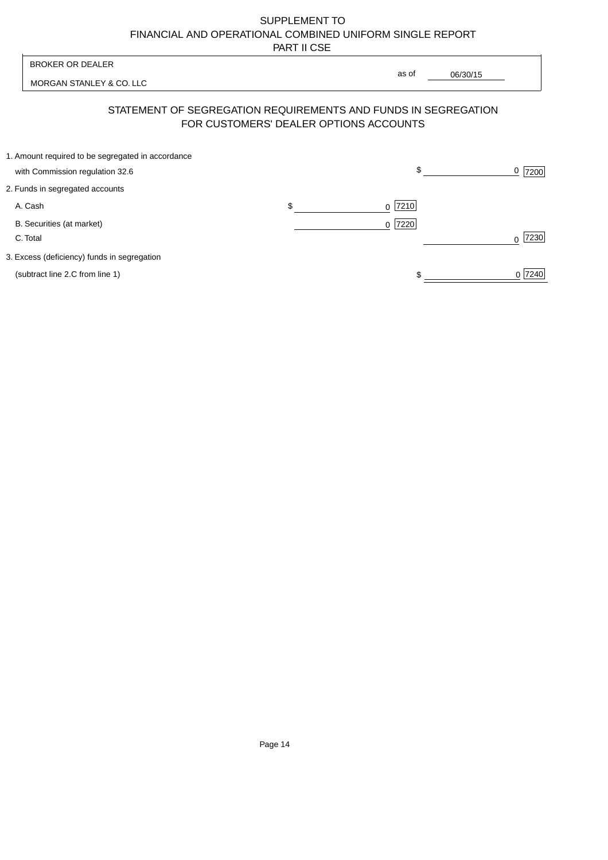| <b>BROKER OR DEALER</b>                                                              | as of                                                                                                    |           |
|--------------------------------------------------------------------------------------|----------------------------------------------------------------------------------------------------------|-----------|
| MORGAN STANLEY & CO. LLC                                                             | 06/30/15                                                                                                 |           |
|                                                                                      | STATEMENT OF SEGREGATION REQUIREMENTS AND FUNDS IN SEGREGATION<br>FOR CUSTOMERS' DEALER OPTIONS ACCOUNTS |           |
| 1. Amount required to be segregated in accordance<br>with Commission regulation 32.6 | \$                                                                                                       | 7200      |
| 2. Funds in segregated accounts                                                      |                                                                                                          |           |
| A. Cash                                                                              | \$<br> 7210 <br>$\Omega$                                                                                 |           |
| B. Securities (at market)<br>C. Total                                                | 7220<br>$\Omega$                                                                                         | 7230<br>∩ |
| 3. Excess (deficiency) funds in segregation                                          |                                                                                                          |           |
| (subtract line 2.C from line 1)                                                      |                                                                                                          | 0 7240    |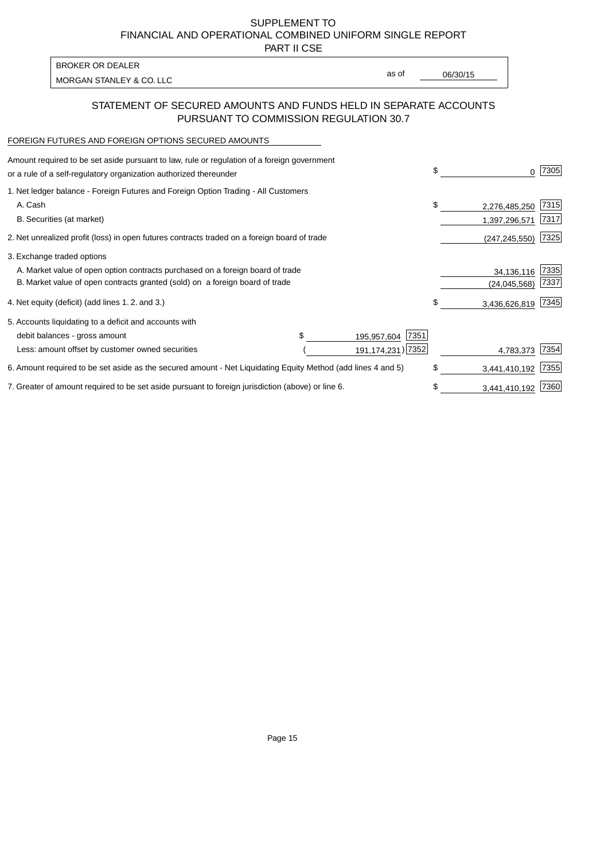PART II CSE

| <b>BROKER OR DEALER</b>  |       |          |
|--------------------------|-------|----------|
| MORGAN STANLEY & CO. LLC | as of | 06/30/15 |
|                          |       |          |

### STATEMENT OF SECURED AMOUNTS AND FUNDS HELD IN SEPARATE ACCOUNTS PURSUANT TO COMMISSION REGULATION 30.7

#### FOREIGN FUTURES AND FOREIGN OPTIONS SECURED AMOUNTS

| Amount required to be set aside pursuant to law, rule or regulation of a foreign government<br>or a rule of a self-regulatory organization authorized thereunder |  |                     | \$<br>0             | 7305 |
|------------------------------------------------------------------------------------------------------------------------------------------------------------------|--|---------------------|---------------------|------|
| 1. Net ledger balance - Foreign Futures and Foreign Option Trading - All Customers                                                                               |  |                     |                     |      |
| A. Cash                                                                                                                                                          |  |                     | \$<br>2,276,485,250 | 7315 |
| B. Securities (at market)                                                                                                                                        |  |                     | 1,397,296,571       | 7317 |
| 2. Net unrealized profit (loss) in open futures contracts traded on a foreign board of trade                                                                     |  |                     | (247, 245, 550)     | 7325 |
| 3. Exchange traded options                                                                                                                                       |  |                     |                     |      |
| A. Market value of open option contracts purchased on a foreign board of trade                                                                                   |  |                     | 34,136,116          | 7335 |
| B. Market value of open contracts granted (sold) on a foreign board of trade                                                                                     |  |                     | (24, 045, 568)      | 7337 |
| 4. Net equity (deficit) (add lines 1.2. and 3.)                                                                                                                  |  |                     | \$<br>3,436,626,819 | 7345 |
| 5. Accounts liquidating to a deficit and accounts with                                                                                                           |  |                     |                     |      |
| debit balances - gross amount                                                                                                                                    |  | 7351<br>195,957,604 |                     |      |
| Less: amount offset by customer owned securities                                                                                                                 |  | 191, 174, 231) 7352 | 4,783,373           | 7354 |
| 6. Amount required to be set aside as the secured amount - Net Liquidating Equity Method (add lines 4 and 5)                                                     |  |                     | \$<br>3,441,410,192 | 7355 |
| 7. Greater of amount required to be set aside pursuant to foreign jurisdiction (above) or line 6.                                                                |  | \$<br>3,441,410,192 | 7360                |      |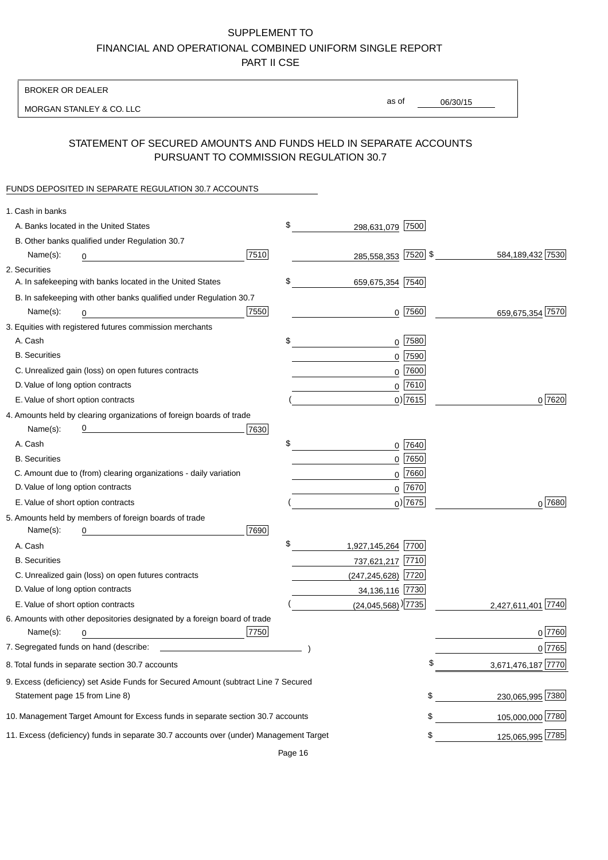BROKER OR DEALER

MORGAN STANLEY & CO. LLC

06/30/15 as of

# STATEMENT OF SECURED AMOUNTS AND FUNDS HELD IN SEPARATE ACCOUNTS PURSUANT TO COMMISSION REGULATION 30.7

### FUNDS DEPOSITED IN SEPARATE REGULATION 30.7 ACCOUNTS

| 1. Cash in banks                                                                                                                         |                    |
|------------------------------------------------------------------------------------------------------------------------------------------|--------------------|
| \$<br>A. Banks located in the United States<br>298,631,079 7500                                                                          |                    |
| B. Other banks qualified under Regulation 30.7                                                                                           |                    |
| 7510<br>285,558,353 7520 \$<br>Name(s):<br>0                                                                                             | 584,189,432 7530   |
| 2. Securities                                                                                                                            |                    |
| \$<br>A. In safekeeping with banks located in the United States<br>659,675,354 7540                                                      |                    |
| B. In safekeeping with other banks qualified under Regulation 30.7                                                                       |                    |
| $0$ 7560<br>7550<br>Name(s):<br>0                                                                                                        | 659,675,354 7570   |
| 3. Equities with registered futures commission merchants                                                                                 |                    |
| A. Cash<br>\$<br>$0$ 7580                                                                                                                |                    |
| <b>B.</b> Securities<br>$0$ 7590                                                                                                         |                    |
| $0$ 7600<br>C. Unrealized gain (loss) on open futures contracts                                                                          |                    |
| $0$ 7610<br>D. Value of long option contracts                                                                                            |                    |
| $0$ ) 7615<br>E. Value of short option contracts                                                                                         | 0 7620             |
| 4. Amounts held by clearing organizations of foreign boards of trade                                                                     |                    |
| <u> 1989 - Johann Barn, mars eta bat erroman erroman erroman erroman erroman erroman erroman erroman erroman err</u><br>7630<br>Name(s): |                    |
| \$<br>A. Cash<br>0 7640                                                                                                                  |                    |
| $0$ 7650<br><b>B.</b> Securities                                                                                                         |                    |
| $0$ 7660<br>C. Amount due to (from) clearing organizations - daily variation                                                             |                    |
| D. Value of long option contracts<br>$0^{7670}$                                                                                          |                    |
| $_0$ ) 7675<br>E. Value of short option contracts                                                                                        | $0^{7680}$         |
| 5. Amounts held by members of foreign boards of trade                                                                                    |                    |
| 7690<br>Name(s):<br>0                                                                                                                    |                    |
| \$<br>A. Cash<br>1,927,145,264 7700                                                                                                      |                    |
| <b>B.</b> Securities<br>737,621,217 7710                                                                                                 |                    |
| C. Unrealized gain (loss) on open futures contracts<br>(247,245,628) 7720                                                                |                    |
| D. Value of long option contracts<br>34,136,116 7730                                                                                     |                    |
| $(24,045,568)$ <sup>)</sup> 7735<br>E. Value of short option contracts                                                                   | 2,427,611,401 7740 |
| 6. Amounts with other depositories designated by a foreign board of trade                                                                |                    |
| 7750<br>Name(s):<br>0                                                                                                                    | 0 7760             |
|                                                                                                                                          | 0 7765             |
| \$<br>8. Total funds in separate section 30.7 accounts                                                                                   | 3,671,476,187 7770 |
| 9. Excess (deficiency) set Aside Funds for Secured Amount (subtract Line 7 Secured                                                       |                    |
| \$<br>Statement page 15 from Line 8)                                                                                                     | 230,065,995 7380   |
| \$<br>10. Management Target Amount for Excess funds in separate section 30.7 accounts                                                    | 105,000,000 7780   |
| 11. Excess (deficiency) funds in separate 30.7 accounts over (under) Management Target<br>\$                                             | 125,065,995 7785   |